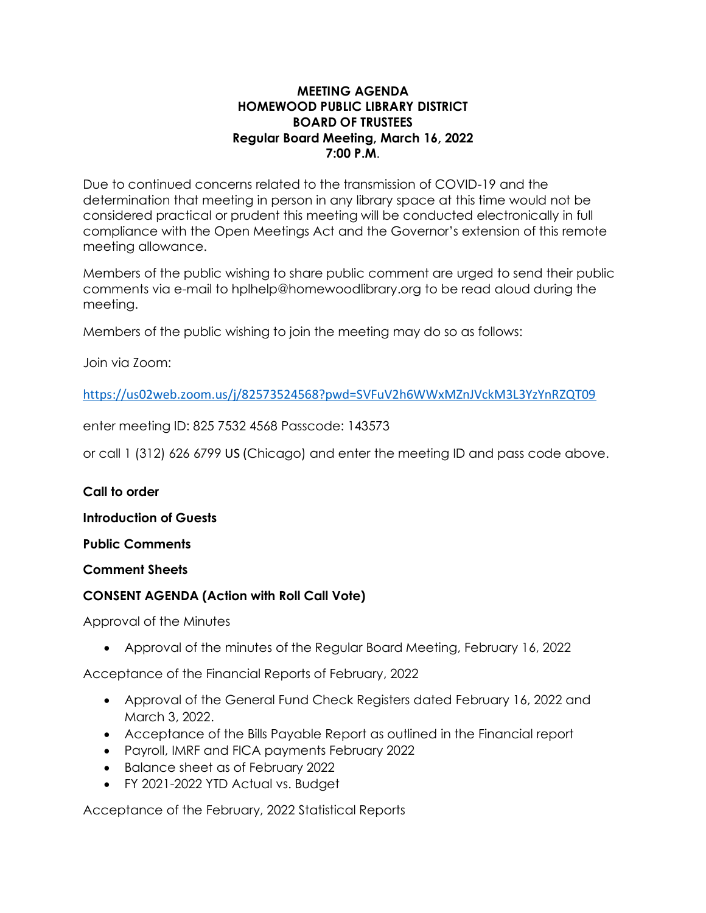# **MEETING AGENDA HOMEWOOD PUBLIC LIBRARY DISTRICT BOARD OF TRUSTEES Regular Board Meeting, March 16, 2022 7:00 P.M**.

Due to continued concerns related to the transmission of COVID-19 and the determination that meeting in person in any library space at this time would not be considered practical or prudent this meeting will be conducted electronically in full compliance with the Open Meetings Act and the Governor's extension of this remote meeting allowance.

Members of the public wishing to share public comment are urged to send their public comments via e-mail to hplhelp@homewoodlibrary.org to be read aloud during the meeting.

Members of the public wishing to join the meeting may do so as follows:

Join via Zoom:

<https://us02web.zoom.us/j/82573524568?pwd=SVFuV2h6WWxMZnJVckM3L3YzYnRZQT09>

enter meeting ID: 825 7532 4568 Passcode: 143573

or call 1 (312) 626 6799 US (Chicago) and enter the meeting ID and pass code above.

# **Call to order**

**Introduction of Guests**

**Public Comments**

**Comment Sheets**

# **CONSENT AGENDA (Action with Roll Call Vote)**

Approval of the Minutes

• Approval of the minutes of the Regular Board Meeting, February 16, 2022

Acceptance of the Financial Reports of February, 2022

- Approval of the General Fund Check Registers dated February 16, 2022 and March 3, 2022.
- Acceptance of the Bills Payable Report as outlined in the Financial report
- Payroll, IMRF and FICA payments February 2022
- Balance sheet as of February 2022
- FY 2021-2022 YTD Actual vs. Budget

Acceptance of the February, 2022 Statistical Reports